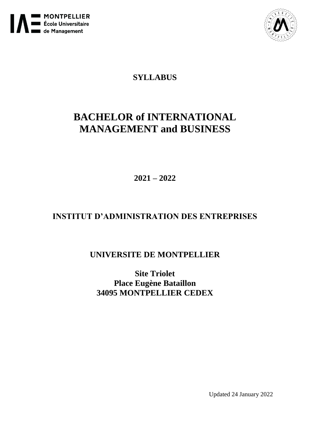



# **SYLLABUS**

# **BACHELOR of INTERNATIONAL MANAGEMENT and BUSINESS**

**2021 – 2022**

# **INSTITUT D'ADMINISTRATION DES ENTREPRISES**

# **UNIVERSITE DE MONTPELLIER**

**Site Triolet Place Eugène Bataillon 34095 MONTPELLIER CEDEX**

Updated 24 January 2022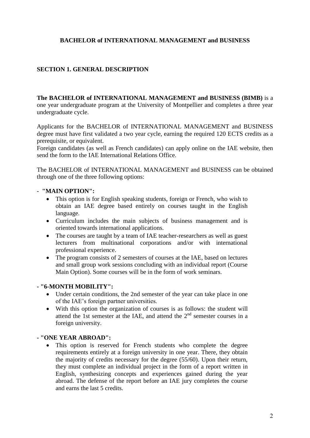# **BACHELOR of INTERNATIONAL MANAGEMENT and BUSINESS**

# **SECTION 1. GENERAL DESCRIPTION**

**The BACHELOR of INTERNATIONAL MANAGEMENT and BUSINESS (BIMB)** is a one year undergraduate program at the University of Montpellier and completes a three year undergraduate cycle.

Applicants for the BACHELOR of INTERNATIONAL MANAGEMENT and BUSINESS degree must have first validated a two year cycle, earning the required 120 ECTS credits as a prerequisite, or equivalent.

Foreign candidates (as well as French candidates) can apply online on the IAE website, then send the form to the IAE International Relations Office.

The BACHELOR of INTERNATIONAL MANAGEMENT and BUSINESS can be obtained through one of the three following options:

## - **"MAIN OPTION":**

- This option is for English speaking students, foreign or French, who wish to obtain an IAE degree based entirely on courses taught in the English language.
- Curriculum includes the main subjects of business management and is oriented towards international applications.
- The courses are taught by a team of IAE teacher-researchers as well as guest lecturers from multinational corporations and/or with international professional experience.
- The program consists of 2 semesters of courses at the IAE, based on lectures and small group work sessions concluding with an individual report (Course Main Option). Some courses will be in the form of work seminars.

## **- "6-MONTH MOBILITY":**

- Under certain conditions, the 2nd semester of the year can take place in one of the IAE's foreign partner universities.
- With this option the organization of courses is as follows: the student will attend the 1st semester at the IAE, and attend the  $2<sup>nd</sup>$  semester courses in a foreign university.

## **- "ONE YEAR ABROAD":**

 This option is reserved for French students who complete the degree requirements entirely at a foreign university in one year. There, they obtain the majority of credits necessary for the degree (55/60). Upon their return, they must complete an individual project in the form of a report written in English, synthesizing concepts and experiences gained during the year abroad. The defense of the report before an IAE jury completes the course and earns the last 5 credits.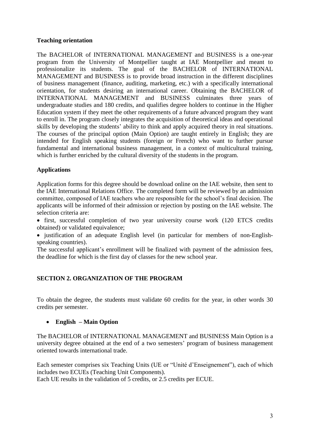# **Teaching orientation**

The BACHELOR of INTERNATIONAL MANAGEMENT and BUSINESS is a one-year program from the University of Montpellier taught at IAE Montpellier and meant to professionalize its students. The goal of the BACHELOR of INTERNATIONAL MANAGEMENT and BUSINESS is to provide broad instruction in the different disciplines of business management (finance, auditing, marketing, etc.) with a specifically international orientation, for students desiring an international career. Obtaining the BACHELOR of INTERNATIONAL MANAGEMENT and BUSINESS culminates three years of undergraduate studies and 180 credits, and qualifies degree holders to continue in the Higher Education system if they meet the other requirements of a future advanced program they want to enroll in. The program closely integrates the acquisition of theoretical ideas and operational skills by developing the students' ability to think and apply acquired theory in real situations. The courses of the principal option (Main Option) are taught entirely in English; they are intended for English speaking students (foreign or French) who want to further pursue fundamental and international business management, in a context of multicultural training, which is further enriched by the cultural diversity of the students in the program.

# **Applications**

Application forms for this degree should be download online on the IAE website, then sent to the IAE International Relations Office. The completed form will be reviewed by an admission committee, composed of IAE teachers who are responsible for the school's final decision. The applicants will be informed of their admission or rejection by posting on the IAE website. The selection criteria are:

• first, successful completion of two year university course work (120 ETCS credits obtained) or validated equivalence;

• iustification of an adequate English level (in particular for members of non-Englishspeaking countries).

The successful applicant's enrollment will be finalized with payment of the admission fees, the deadline for which is the first day of classes for the new school year.

# **SECTION 2. ORGANIZATION OF THE PROGRAM**

To obtain the degree, the students must validate 60 credits for the year, in other words 30 credits per semester.

## **English – Main Option**

The BACHELOR of INTERNATIONAL MANAGEMENT and BUSINESS Main Option is a university degree obtained at the end of a two semesters' program of business management oriented towards international trade.

Each semester comprises six Teaching Units (UE or "Unité d'Enseignement"), each of which includes two ECUEs (Teaching Unit Components).

Each UE results in the validation of 5 credits, or 2.5 credits per ECUE.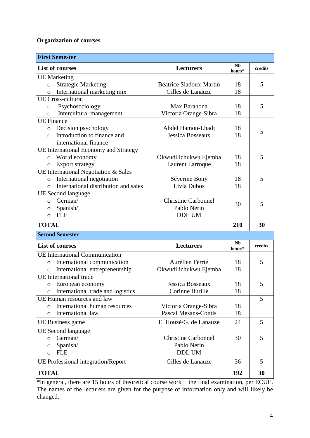# **Organization of courses**

| <b>First Semester</b>                           |                             |                     |         |  |  |  |
|-------------------------------------------------|-----------------------------|---------------------|---------|--|--|--|
| <b>List of courses</b>                          | Lecturers                   | <b>Nb</b><br>hours* | credits |  |  |  |
| <b>UE</b> Marketing                             |                             |                     |         |  |  |  |
| <b>Strategic Marketing</b><br>$\circ$           | Béatrice Siadoux-Martin     | 18                  | 5       |  |  |  |
| International marketing mix<br>$\circ$          | Gilles de Lanauze           | 18                  |         |  |  |  |
| <b>UE</b> Cross-cultural                        |                             |                     |         |  |  |  |
| Psychosociology<br>$\circ$                      | Max Barahona                | 18                  | 5       |  |  |  |
| Intercultural management<br>O                   | Victoria Orange-Sibra       | 18                  |         |  |  |  |
| <b>UE</b> Finance                               |                             |                     |         |  |  |  |
| Decision psychology<br>$\circ$                  | Abdel Hamou-Lhadj           | 18                  | 5       |  |  |  |
| Introduction to finance and<br>$\circ$          | Jessica Bosseaux            | 18                  |         |  |  |  |
| international finance                           |                             |                     |         |  |  |  |
| UE International Economy and Strategy           |                             |                     |         |  |  |  |
| World economy<br>$\circ$                        | Okwudilichukwu Ejemba       | 18                  | 5       |  |  |  |
| <b>Export strategy</b><br>$\circ$               | <b>Laurent Larroque</b>     | 18                  |         |  |  |  |
| UE International Negotiation & Sales            |                             |                     |         |  |  |  |
| International negotiation<br>$\circ$            | Séverine Bony               | 18                  | 5       |  |  |  |
| International distribution and sales<br>$\circ$ | Livia Dubos                 | 18                  |         |  |  |  |
| UE Second language                              |                             |                     |         |  |  |  |
| German/<br>$\circ$                              | <b>Christine Carbonnel</b>  | 30                  | 5       |  |  |  |
| Spanish/<br>$\circ$                             | Pablo Nerin                 |                     |         |  |  |  |
| <b>FLE</b><br>$\circ$                           | <b>DDL UM</b>               |                     |         |  |  |  |
| <b>TOTAL</b>                                    |                             | 210                 | 30      |  |  |  |
| <b>Second Semester</b>                          |                             |                     |         |  |  |  |
| <b>List of courses</b>                          | Lecturers                   | <b>Nb</b><br>hours* | credits |  |  |  |
| <b>UE</b> International Communication           |                             |                     |         |  |  |  |
| International communication<br>$\circ$          | Aurélien Ferrié             | 18                  | 5       |  |  |  |
| International entrepreneurship<br>$\circ$       | Okwudilichukwu Ejemba       | 18                  |         |  |  |  |
| <b>UE</b> International trade                   |                             |                     |         |  |  |  |
| $\circ$ European economy                        | Jessica Bosseaux            | 18                  | 5       |  |  |  |
| International trade and logistics<br>$\circ$    | Corinne Burille             | 18                  |         |  |  |  |
| UE Human resources and law                      |                             |                     | 5       |  |  |  |
| International human resources<br>$\circ$        | Victoria Orange-Sibra       | 18                  |         |  |  |  |
| International law<br>$\circ$                    | <b>Pascal Mesans-Contis</b> | 18                  |         |  |  |  |
| UE Business game                                | E. Houzé/G. de Lanauze      | 24                  | 5       |  |  |  |
| <b>UE</b> Second language                       |                             |                     |         |  |  |  |
| German/<br>$\circ$                              | <b>Christine Carbonnel</b>  | 30                  | 5       |  |  |  |
| Spanish/<br>$\circ$                             | Pablo Nerin                 |                     |         |  |  |  |
| <b>FLE</b><br>$\circ$                           | <b>DDL UM</b>               |                     |         |  |  |  |
| <b>UE Professional integration/Report</b>       | Gilles de Lanauze           | 36                  | 5       |  |  |  |
| <b>TOTAL</b>                                    | 192                         | 30                  |         |  |  |  |

\*in general, there are 15 hours of theoretical course work + the final examination, per ECUE. The names of the lecturers are given for the purpose of information only and will likely be changed.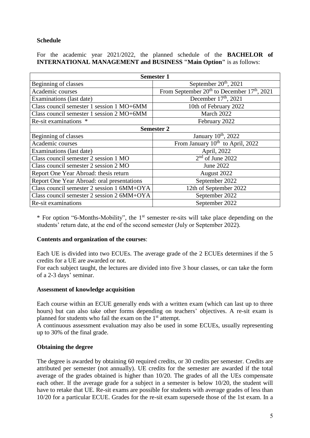# **Schedule**

For the academic year 2021/2022, the planned schedule of the **BACHELOR of INTERNATIONAL MANAGEMENT and BUSINESS "Main Option"** is as follows:

| <b>Semester 1</b>                          |                                                       |  |  |  |
|--------------------------------------------|-------------------------------------------------------|--|--|--|
| Beginning of classes                       | September $20th$ , 2021                               |  |  |  |
| Academic courses                           | From September $20^{th}$ to December $17^{th}$ , 2021 |  |  |  |
| Examinations (last date)                   | December $17th$ , 2021                                |  |  |  |
| Class council semester 1 session 1 MO+6MM  | 10th of February 2022                                 |  |  |  |
| Class council semester 1 session 2 MO+6MM  | March 2022                                            |  |  |  |
| Re-sit examinations *                      | February 2022                                         |  |  |  |
| <b>Semester 2</b>                          |                                                       |  |  |  |
| Beginning of classes                       | January 10 <sup>th</sup> , 2022                       |  |  |  |
| Academic courses                           | From January 10 <sup>th</sup> to April, 2022          |  |  |  |
| Examinations (last date)                   | April, 2022                                           |  |  |  |
| Class council semester 2 session 1 MO      | $2nd$ of June 2022                                    |  |  |  |
| Class council semester 2 session 2 MO      | June 2022                                             |  |  |  |
| Report One Year Abroad: thesis return      | August 2022                                           |  |  |  |
| Report One Year Abroad: oral presentations | September 2022                                        |  |  |  |
| Class council semester 2 session 1 6MM+OYA | 12th of September 2022                                |  |  |  |
| Class council semester 2 session 2 6MM+OYA | September 2022                                        |  |  |  |
| Re-sit examinations                        | September 2022                                        |  |  |  |

\* For option "6-Months-Mobility", the 1st semester re-sits will take place depending on the students' return date, at the end of the second semester (July or September 2022).

## **Contents and organization of the courses**:

Each UE is divided into two ECUEs. The average grade of the 2 ECUEs determines if the 5 credits for a UE are awarded or not.

For each subject taught, the lectures are divided into five 3 hour classes, or can take the form of a 2-3 days' seminar.

## **Assessment of knowledge acquisition**

Each course within an ECUE generally ends with a written exam (which can last up to three hours) but can also take other forms depending on teachers' objectives. A re-sit exam is planned for students who fail the exam on the  $1<sup>st</sup>$  attempt.

A continuous assessment evaluation may also be used in some ECUEs, usually representing up to 30% of the final grade.

## **Obtaining the degree**

The degree is awarded by obtaining 60 required credits, or 30 credits per semester. Credits are attributed per semester (not annually). UE credits for the semester are awarded if the total average of the grades obtained is higher than 10/20. The grades of all the UEs compensate each other. If the average grade for a subject in a semester is below 10/20, the student will have to retake that UE. Re-sit exams are possible for students with average grades of less than 10/20 for a particular ECUE. Grades for the re-sit exam supersede those of the 1st exam. In a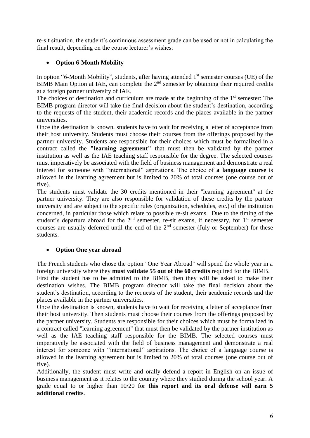re-sit situation, the student's continuous assessment grade can be used or not in calculating the final result, depending on the course lecturer's wishes.

# **Option 6-Month Mobility**

In option "6-Month Mobility", students, after having attended  $1<sup>st</sup>$  semester courses (UE) of the BIMB Main Option at IAE, can complete the  $2<sup>nd</sup>$  semester by obtaining their required credits at a foreign partner university of IAE.

The choices of destination and curriculum are made at the beginning of the  $1<sup>st</sup>$  semester: The BIMB program director will take the final decision about the student's destination, according to the requests of the student, their academic records and the places available in the partner universities.

Once the destination is known, students have to wait for receiving a letter of acceptance from their host university. Students must choose their courses from the offerings proposed by the partner university. Students are responsible for their choices which must be formalized in a contract called the **"learning agreement"** that must then be validated by the partner institution as well as the IAE teaching staff responsible for the degree. The selected courses must imperatively be associated with the field of business management and demonstrate a real interest for someone with "international" aspirations. The choice of **a language course** is allowed in the learning agreement but is limited to 20% of total courses (one course out of five).

The students must validate the 30 credits mentioned in their "learning agreement" at the partner university. They are also responsible for validation of these credits by the partner university and are subject to the specific rules (organization, schedules, etc.) of the institution concerned, in particular those which relate to possible re-sit exams. Due to the timing of the student's departure abroad for the  $2<sup>nd</sup>$  semester, re-sit exams, if necessary, for  $1<sup>st</sup>$  semester courses are usually deferred until the end of the 2<sup>nd</sup> semester (July or September) for these students.

# **Option One year abroad**

The French students who chose the option "One Year Abroad" will spend the whole year in a foreign university where they **must validate 55 out of the 60 credits** required for the BIMB.

First the student has to be admitted to the BIMB, then they will be asked to make their destination wishes. The BIMB program director will take the final decision about the student's destination, according to the requests of the student, their academic records and the places available in the partner universities.

Once the destination is known, students have to wait for receiving a letter of acceptance from their host university. Then students must choose their courses from the offerings proposed by the partner university. Students are responsible for their choices which must be formalized in a contract called "learning agreement" that must then be validated by the partner institution as well as the IAE teaching staff responsible for the BIMB. The selected courses must imperatively be associated with the field of business management and demonstrate a real interest for someone with "international" aspirations. The choice of a language course is allowed in the learning agreement but is limited to 20% of total courses (one course out of five).

Additionally, the student must write and orally defend a report in English on an issue of business management as it relates to the country where they studied during the school year. A grade equal to or higher than 10/20 for **this report and its oral defense will earn 5 additional credits**.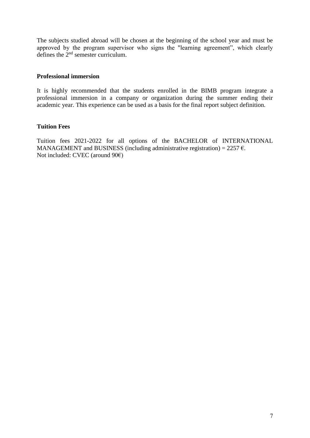The subjects studied abroad will be chosen at the beginning of the school year and must be approved by the program supervisor who signs the "learning agreement", which clearly defines the 2nd semester curriculum.

## **Professional immersion**

It is highly recommended that the students enrolled in the BIMB program integrate a professional immersion in a company or organization during the summer ending their academic year. This experience can be used as a basis for the final report subject definition.

## **Tuition Fees**

Tuition fees 2021-2022 for all options of the BACHELOR of INTERNATIONAL MANAGEMENT and BUSINESS (including administrative registration) =  $2257 \text{ } \in$ . Not included: CVEC (around 90€)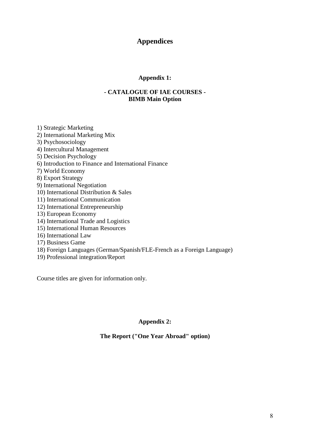# **Appendices**

# **Appendix 1:**

## **- CATALOGUE OF IAE COURSES - BIMB Main Option**

- 1) Strategic Marketing 2) International Marketing Mix 3) Psychosociology 4) Intercultural Management 5) Decision Psychology 6) Introduction to Finance and International Finance 7) World Economy 8) Export Strategy 9) International Negotiation 10) International Distribution & Sales 11) International Communication 12) International Entrepreneurship 13) European Economy 14) International Trade and Logistics 15) International Human Resources 16) International Law 17) Business Game
- 18) Foreign Languages (German/Spanish/FLE-French as a Foreign Language)
- 19) Professional integration/Report

Course titles are given for information only.

## **Appendix 2:**

## **The Report ("One Year Abroad" option)**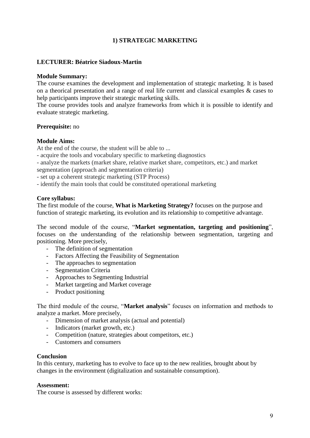# **1) STRATEGIC MARKETING**

## **LECTURER: Béatrice Siadoux-Martin**

## **Module Summary:**

The course examines the development and implementation of strategic marketing. It is based on a theorical presentation and a range of real life current and classical examples & cases to help participants improve their strategic marketing skills.

The course provides tools and analyze frameworks from which it is possible to identify and evaluate strategic marketing.

#### **Prerequisite:** no

#### **Module Aims:**

At the end of the course, the student will be able to ...

- acquire the tools and vocabulary specific to marketing diagnostics
- analyze the markets (market share, relative market share, competitors, etc.) and market segmentation (approach and segmentation criteria)
- set up a coherent strategic marketing (STP Process)
- identify the main tools that could be constituted operational marketing

#### **Core syllabus:**

The first module of the course, **What is Marketing Strategy?** focuses on the purpose and function of strategic marketing, its evolution and its relationship to competitive advantage.

The second module of the course, "**Market segmentation, targeting and positioning**", focuses on the understanding of the relationship between segmentation, targeting and positioning. More precisely,

- The definition of segmentation
- Factors Affecting the Feasibility of Segmentation
- The approaches to segmentation
- Segmentation Criteria
- Approaches to Segmenting Industrial
- Market targeting and Market coverage
- Product positioning

The third module of the course, "**Market analysis**" focuses on information and methods to analyze a market. More precisely,

- Dimension of market analysis (actual and potential)
- Indicators (market growth, etc.)
- Competition (nature, strategies about competitors, etc.)
- Customers and consumers

#### **Conclusion**

In this century, marketing has to evolve to face up to the new realities, brought about by changes in the environment (digitalization and sustainable consumption).

#### **Assessment:**

The course is assessed by different works: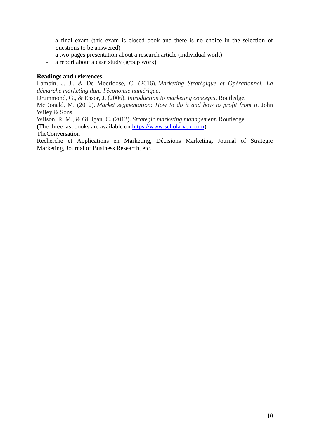- a final exam (this exam is closed book and there is no choice in the selection of questions to be answered)
- a two-pages presentation about a research article (individual work)
- a report about a case study (group work).

## **Readings and references:**

Lambin, J. J., & De Moerloose, C. (2016). *Marketing Stratégique et Opérationnel. La démarche marketing dans l'économie numérique*.

Drummond, G., & Ensor, J. (2006). *Introduction to marketing concepts*. Routledge.

McDonald, M. (2012). *Market segmentation: How to do it and how to profit from it*. John Wiley & Sons.

Wilson, R. M., & Gilligan, C. (2012). *Strategic marketing management*. Routledge.

(The three last books are available on [https://www.scholarvox.com\)](https://www.scholarvox.com/)

TheConversation

Recherche et Applications en Marketing, Décisions Marketing, Journal of Strategic Marketing, Journal of Business Research, etc.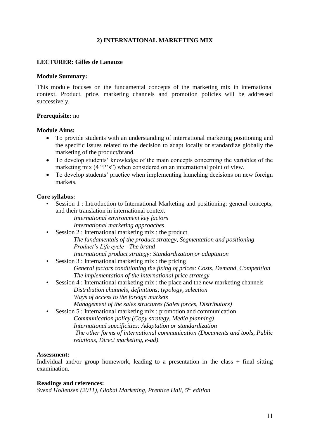# **2) INTERNATIONAL MARKETING MIX**

## **LECTURER: Gilles de Lanauze**

#### **Module Summary:**

This module focuses on the fundamental concepts of the marketing mix in international context. Product, price, marketing channels and promotion policies will be addressed successively.

## **Prerequisite:** no

## **Module Aims:**

- To provide students with an understanding of international marketing positioning and the specific issues related to the decision to adapt locally or standardize globally the marketing of the product/brand.
- To develop students' knowledge of the main concepts concerning the variables of the marketing mix (4 "P's") when considered on an international point of view.
- To develop students' practice when implementing launching decisions on new foreign markets.

## **Core syllabus:**

Session 1 : Introduction to International Marketing and positioning: general concepts, and their translation in international context

*International environment key factors*

*International marketing approaches*

- Session 2 : International marketing mix : the product *The fundamentals of the product strategy, Segmentation and positioning Product's Life cycle - The brand International product strategy: Standardization or adaptation*
- Session 3 : International marketing mix : the pricing *General factors conditioning the fixing of prices: Costs, Demand, Competition The implementation of the international price strategy*
- Session 4 : International marketing mix : the place and the new marketing channels *Distribution channels, definitions, typology, selection Ways of access to the foreign markets* 
	- *Management of the sales structures (Sales forces, Distributors)*
- Session 5 : International marketing mix : promotion and communication
	- *Communication policy (Copy strategy, Media planning) International specificities: Adaptation or standardization The other forms of international communication (Documents and tools, Public relations, Direct marketing, e-ad)*

## **Assessment:**

Individual and/or group homework, leading to a presentation in the class  $+$  final sitting examination.

## **Readings and references:**

*Svend Hollensen (2011), Global Marketing, Prentice Hall, 5th edition*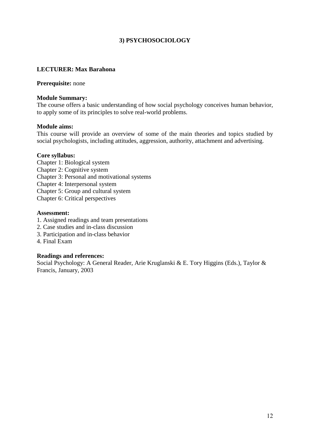# **3) PSYCHOSOCIOLOGY**

## **LECTURER: Max Barahona**

#### **Prerequisite:** none

#### **Module Summary:**

The course offers a basic understanding of how social psychology conceives human behavior, to apply some of its principles to solve real-world problems.

#### **Module aims:**

This course will provide an overview of some of the main theories and topics studied by social psychologists, including attitudes, aggression, authority, attachment and advertising.

#### **Core syllabus:**

Chapter 1: Biological system Chapter 2: Cognitive system Chapter 3: Personal and motivational systems Chapter 4: Interpersonal system Chapter 5: Group and cultural system Chapter 6: Critical perspectives

#### **Assessment:**

- 1. Assigned readings and team presentations
- 2. Case studies and in-class discussion
- 3. Participation and in-class behavior
- 4. Final Exam

## **Readings and references:**

Social Psychology: A General Reader, Arie Kruglanski & E. Tory Higgins (Eds.), Taylor & Francis, January, 2003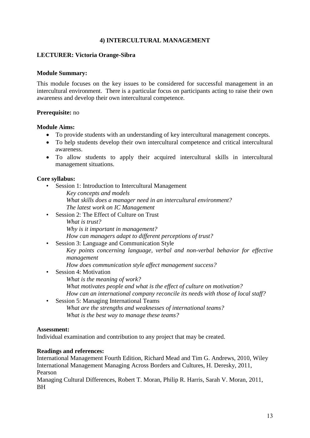# **4) INTERCULTURAL MANAGEMENT**

## **LECTURER: Victoria Orange-Sibra**

#### **Module Summary:**

This module focuses on the key issues to be considered for successful management in an intercultural environment. There is a particular focus on participants acting to raise their own awareness and develop their own intercultural competence.

## **Prerequisite:** no

#### **Module Aims:**

- To provide students with an understanding of key intercultural management concepts.
- To help students develop their own intercultural competence and critical intercultural awareness.
- To allow students to apply their acquired intercultural skills in intercultural management situations.

## **Core syllabus:**

- Session 1: Introduction to Intercultural Management *Key concepts and models What skills does a manager need in an intercultural environment? The latest work on IC Management*
- Session 2: The Effect of Culture on Trust *What is trust? Why is it important in management? How can managers adapt to different perceptions of trust?* • Session 3: Language and Communication Style
	- *Key points concerning language, verbal and non-verbal behavior for effective management*
	- *How does communication style affect management success?*
- Session 4: Motivation
	- *What is the meaning of work?*
	- *What motivates people and what is the effect of culture on motivation?*
- *How can an international company reconcile its needs with those of local staff?* • Session 5: Managing International Teams
	- *What are the strengths and weaknesses of international teams? What is the best way to manage these teams?*

#### **Assessment:**

Individual examination and contribution to any project that may be created.

## **Readings and references:**

International Management Fourth Edition, Richard Mead and Tim G. Andrews, 2010, Wiley International Management Managing Across Borders and Cultures, H. Deresky, 2011, Pearson

Managing Cultural Differences, Robert T. Moran, Philip R. Harris, Sarah V. Moran, 2011, **BH**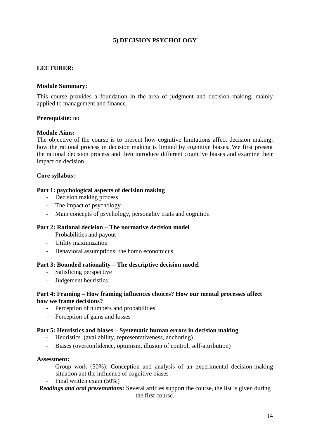# **5) DECISION PSYCHOLOGY**

## **LECTURER:**

## **Module Summary:**

This course provides a foundation in the area of judgment and decision making, mainly applied to management and finance.

## **Prerequisite:** no

## **Module Aims:**

The objective of the course is to present how cognitive limitations affect decision making, how the rational process in decision making is limited by cognitive biases. We first present the rational decision process and then introduce different cognitive biases and examine their impact on decision.

## **Core syllabus:**

## **Part 1: psychological aspects of decision making**

- Decision making process
- The impact of psychology
- Main concepts of psychology, personality traits and cognition

## **Part 2: Rational decision – The normative decision model**

- Probabilities and payout
- Utility maximization
- Behavioral assumptions: the homo economicus

## **Part 3: Bounded rationality – The descriptive decision model**

- Satisficing perspective
- Judgement heuristics

## **Part 4: Framing – How framing influences choices? How our mental processes affect how we frame decisions?**

- Perception of numbers and probabilities
- Perception of gains and losses

## **Part 5: Heuristics and biases – Systematic human errors in decision making**

- Heuristics (availability, representativeness, anchoring)
- Biases (overconfidence, optimism, illusion of control, self-attribution)

## **Assessment:**

- Group work (50%): Conception and analysis of an experimental decision-making situation ant the influence of cognitive biases
- Final written exam (50%)

## *Readings and oral presentations:* Several articles support the course, the list is given during the first course.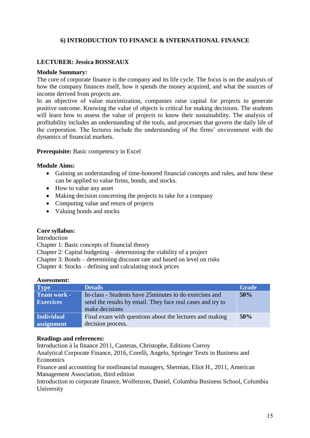# **6) INTRODUCTION TO FINANCE & INTERNATIONAL FINANCE**

## **LECTURER: Jessica BOSSEAUX**

#### **Module Summary:**

The core of corporate finance is the company and its life cycle. The focus is on the analysis of how the company finances itself, how it spends the money acquired, and what the sources of income derived from projects are.

In an objective of value maximization, companies raise capital for projects to generate positive outcome. Knowing the value of objects is critical for making decisions. The students will learn how to assess the value of projects to know their sustainability. The analysis of profitability includes an understanding of the tools, and processes that govern the daily life of the corporation. The lectures include the understanding of the firms' environment with the dynamics of financial markets.

#### **Prerequisite:** Basic competency in Excel

#### **Module Aims:**

- Gaining an understanding of time-honored financial concepts and rules, and how these can be applied to value firms, bonds, and stocks.
- How to value any asset
- Making decision concerning the projects to take for a company
- Computing value and return of projects
- Valuing bonds and stocks

## **Core syllabus:**

Introduction

Chapter 1: Basic concepts of financial theory

Chapter 2: Capital budgeting – determining the viability of a project

Chapter 3: Bonds – determining discount rate and based on level on risks

Chapter 4: Stocks – defining and calculating stock prices

#### **Assessment:**

| <b>Type</b>        | <b>Details</b>                                             | <b>Grade</b> |
|--------------------|------------------------------------------------------------|--------------|
| <b>Team work -</b> | In-class - Students have 25 minutes to do exercises and    | 50%          |
| <b>Exercices</b>   | send the results by email. They face real cases and try to |              |
|                    | make decisions                                             |              |
| <b>Individual</b>  | Final exam with questions about the lectures and making    | 50%          |
| assignment         | decision process.                                          |              |

#### **Readings and references:**

Introduction à la finance 2011, Casteras, Christophe, Editions Corroy

Analytical Corporate Finance, 2016, Corelli, Angelo, Springer Texts in Business and **Economics** 

Finance and accounting for nonfinancial managers, Sherman, Eliot H., 2011, American Management Association, third edition

Introduction to corporate finance, Wolfenzon, Daniel, Columbia Business School, Columbia University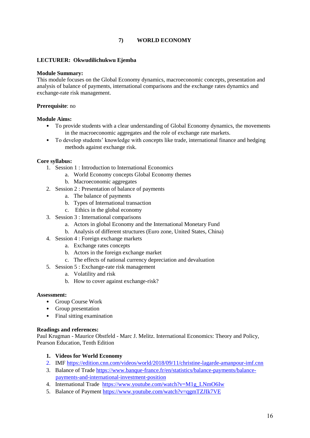## **7) WORLD ECONOMY**

#### **LECTURER: Okwudilichukwu Ejemba**

#### **Module Summary:**

This module focuses on the Global Economy dynamics, macroeconomic concepts, presentation and analysis of balance of payments, international comparisons and the exchange rates dynamics and exchange-rate risk management.

#### **Prerequisite**: no

#### **Module Aims:**

- To provide students with a clear understanding of Global Economy dynamics, the movements in the macroeconomic aggregates and the role of exchange rate markets.
- To develop students' knowledge with concepts like trade, international finance and hedging methods against exchange risk.

#### **Core syllabus:**

- 1. Session 1 : Introduction to International Economics
	- a. World Economy concepts Global Economy themes
	- b. Macroeconomic aggregates
- 2. Session 2 : Presentation of balance of payments
	- a. The balance of payments
	- b. Types of International transaction
	- c. Ethics in the global economy
- 3. Session 3 : International comparisons
	- a. Actors in global Economy and the International Monetary Fund
	- b. Analysis of different structures (Euro zone, United States, China)
- 4. Session 4 : Foreign exchange markets
	- a. Exchange rates concepts
	- b. Actors in the foreign exchange market
	- c. The effects of national currency depreciation and devaluation
- 5. Session 5 : Exchange-rate risk management
	- a. Volatility and risk
	- b. How to cover against exchange-risk?

#### **Assessment:**

- Group Course Work
- Group presentation
- Final sitting examination

#### **Readings and references:**

Paul Krugman - Maurice Obstfeld - Marc J. Melitz. International Economics: Theory and Policy, Pearson Education, Tenth Edition

- **1. Videos for World Economy**
- 2. IMF<https://edition.cnn.com/videos/world/2018/09/11/christine-lagarde-amanpour-imf.cnn>
- 3. Balance of Trade [https://www.banque-france.fr/en/statistics/balance-payments/balance](https://www.banque-france.fr/en/statistics/balance-payments/balance-payments-and-international-investment-position)[payments-and-international-investment-position](https://www.banque-france.fr/en/statistics/balance-payments/balance-payments-and-international-investment-position)
- 4. International Trade https://www.youtube.com/watch?v=M1g\_LNmO6Iw
- 5. Balance of Payment<https://www.youtube.com/watch?v=qgmTZJIk7VE>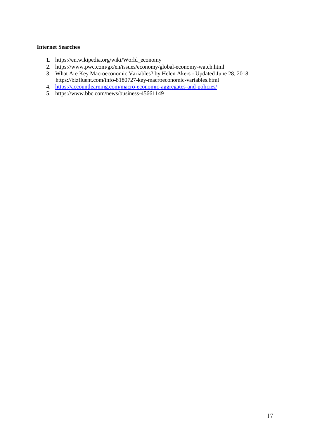## **Internet Searches**

- **1.** https://en.wikipedia.org/wiki/World\_economy
- 2. https://www.pwc.com/gx/en/issues/economy/global-economy-watch.html
- 3. What Are Key Macroeconomic Variables? by Helen Akers Updated June 28, 2018 <https://bizfluent.com/info-8180727-key-macroeconomic-variables.html>
- 4. <https://accountlearning.com/macro-economic-aggregates-and-policies/>
- 5. https://www.bbc.com/news/business-45661149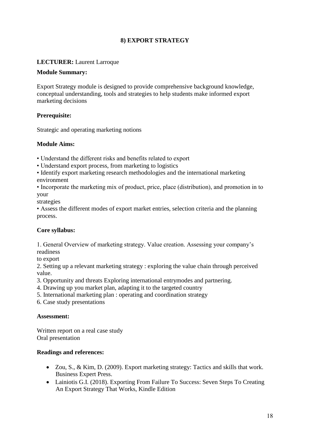# **8) EXPORT STRATEGY**

# **LECTURER:** Laurent Larroque

## **Module Summary:**

Export Strategy module is designed to provide comprehensive background knowledge, conceptual understanding, tools and strategies to help students make informed export marketing decisions

# **Prerequisite:**

Strategic and operating marketing notions

## **Module Aims:**

- Understand the different risks and benefits related to export
- Understand export process, from marketing to logistics
- Identify export marketing research methodologies and the international marketing environment
- Incorporate the marketing mix of product, price, place (distribution), and promotion in to your

strategies

• Assess the different modes of export market entries, selection criteria and the planning process.

## **Core syllabus:**

1. General Overview of marketing strategy. Value creation. Assessing your company's readiness

to export

2. Setting up a relevant marketing strategy : exploring the value chain through perceived value.

- 3. Opportunity and threats Exploring international entrymodes and partnering.
- 4. Drawing up you market plan, adapting it to the targeted country
- 5. International marketing plan : operating and coordination strategy
- 6. Case study presentations

## **Assessment:**

Written report on a real case study Oral presentation

## **Readings and references:**

- $\bullet$  Zou, S., & Kim, D. (2009). Export marketing strategy: Tactics and skills that work. Business Expert Press.
- Lainiotis G.I. (2018). Exporting From Failure To Success: Seven Steps To Creating An Export Strategy That Works, Kindle Edition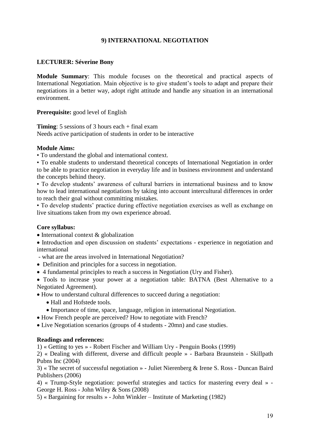# **9) INTERNATIONAL NEGOTIATION**

## **LECTURER: Séverine Bony**

**Module Summary**: This module focuses on the theoretical and practical aspects of International Negotiation. Main objective is to give student's tools to adapt and prepare their negotiations in a better way, adopt right attitude and handle any situation in an international environment.

## **Prerequisite:** good level of English

**Timing**: 5 sessions of 3 hours each + final exam Needs active participation of students in order to be interactive

## **Module Aims:**

• To understand the global and international context.

• To enable students to understand theoretical concepts of International Negotiation in order to be able to practice negotiation in everyday life and in business environment and understand the concepts behind theory.

• To develop students' awareness of cultural barriers in international business and to know how to lead international negotiations by taking into account intercultural differences in order to reach their goal without committing mistakes.

• To develop students' practice during effective negotiation exercises as well as exchange on live situations taken from my own experience abroad.

## **Core syllabus:**

 $\bullet$  International context & globalization

 Introduction and open discussion on students' expectations - experience in negotiation and international

- what are the areas involved in International Negotiation?

Definition and principles for a success in negotiation.

4 fundamental principles to reach a success in Negotiation (Ury and Fisher).

 Tools to increase your power at a negotiation table: BATNA (Best Alternative to a Negotiated Agreement).

How to understand cultural differences to succeed during a negotiation:

- Hall and Hofstede tools.
- Importance of time, space, language, religion in international Negotiation.
- How French people are perceived? How to negotiate with French?
- Live Negotiation scenarios (groups of 4 students 20mn) and case studies.

## **Readings and references:**

1) « Getting to yes » - Robert Fischer and William Ury - Penguin Books (1999)

2) « Dealing with different, diverse and difficult people » - Barbara Braunstein - Skillpath Pubns Inc (2004)

3) « The secret of successful negotiation » - Juliet Nierenberg & Irene S. Ross - Duncan Baird Publishers (2006)

4) « Trump-Style negotiation: powerful strategies and tactics for mastering every deal » - George H. Ross - John Wiley & Sons (2008)

5) « Bargaining for results » - John Winkler – Institute of Marketing (1982)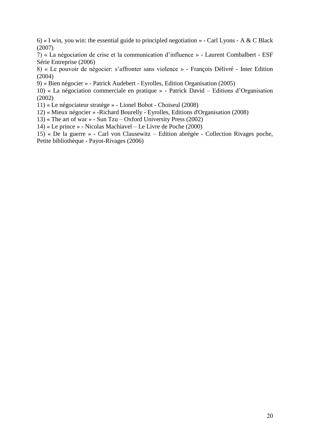6) « I win, you win: the essential guide to principled negotiation » - Carl Lyons - A & C Black (2007)

7) « La négociation de crise et la communication d'influence » - Laurent Combalbert - ESF Série Entreprise (2006)

8) « Le pouvoir de négocier: s'affronter sans violence » - François Délivré - Inter Edition (2004)

9) « Bien négocier » - Patrick Audebert - Eyrolles, Edition Organisation (2005)

10) « La négociation commerciale en pratique » - Patrick David – Editions d'Organisation (2002)

11) « Le négociateur stratège » - Lionel Bobot - Choiseul (2008)

12) « Mieux négocier » -Richard Bourelly - Eyrolles, Editions d'Organisation (2008)

13) « The art of war » - Sun Tzu – Oxford University Press (2002)

14) « Le prince » - Nicolas Machiavel – Le Livre de Poche (2000)

15) « De la guerre » - Carl von Clausewitz – Edition abrégée - Collection Rivages poche, Petite bibliothèque - Payot-Rivages (2006)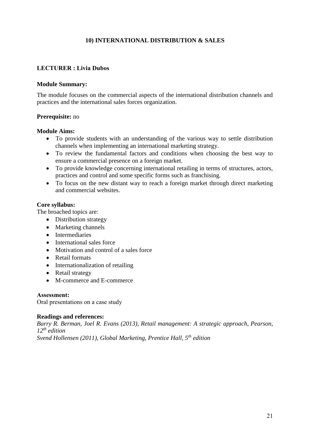# **10) INTERNATIONAL DISTRIBUTION & SALES**

## **LECTURER : Livia Dubos**

#### **Module Summary:**

The module focuses on the commercial aspects of the international distribution channels and practices and the international sales forces organization.

## **Prerequisite:** no

#### **Module Aims:**

- To provide students with an understanding of the various way to settle distribution channels when implementing an international marketing strategy.
- To review the fundamental factors and conditions when choosing the best way to ensure a commercial presence on a foreign market.
- To provide knowledge concerning international retailing in terms of structures, actors, practices and control and some specific forms such as franchising.
- To focus on the new distant way to reach a foreign market through direct marketing and commercial websites.

## **Core syllabus:**

The broached topics are:

- Distribution strategy
- Marketing channels
- Intermediaries
- International sales force
- Motivation and control of a sales force
- Retail formats
- Internationalization of retailing
- Retail strategy
- M-commerce and E-commerce

## **Assessment:**

Oral presentations on a case study

## **Readings and references:**

*Barry R. Berman, Joel R. Evans (2013), Retail management: A strategic approach, Pearson, 12th edition Svend Hollensen (2011), Global Marketing, Prentice Hall, 5th edition*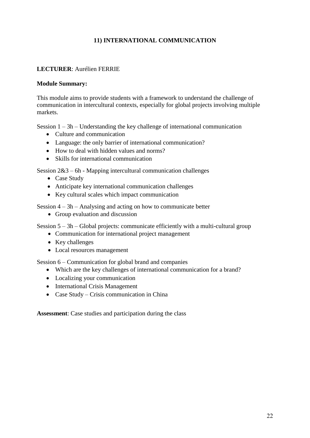# **11) INTERNATIONAL COMMUNICATION**

# **LECTURER**: Aurélien FERRIE

## **Module Summary:**

This module aims to provide students with a framework to understand the challenge of communication in intercultural contexts, especially for global projects involving multiple markets.

Session 1 – 3h – Understanding the key challenge of international communication

- Culture and communication
- Language: the only barrier of international communication?
- How to deal with hidden values and norms?
- Skills for international communication

Session 2&3 – 6h - Mapping intercultural communication challenges

- Case Study
- Anticipate key international communication challenges
- Key cultural scales which impact communication

Session 4 – 3h – Analysing and acting on how to communicate better

Group evaluation and discussion

Session 5 – 3h – Global projects: communicate efficiently with a multi-cultural group

- Communication for international project management
- Key challenges
- Local resources management

Session 6 – Communication for global brand and companies

- Which are the key challenges of international communication for a brand?
- Localizing your communication
- International Crisis Management
- Case Study Crisis communication in China

**Assessment**: Case studies and participation during the class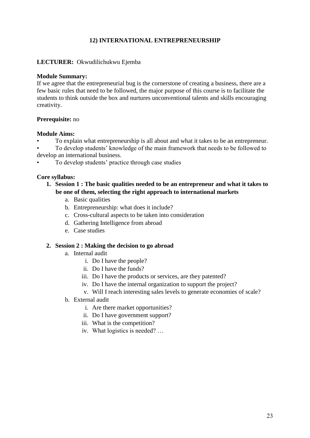# **12) INTERNATIONAL ENTREPRENEURSHIP**

## **LECTURER:** Okwudilichukwu Ejemba

#### **Module Summary:**

If we agree that the entrepreneurial bug is the cornerstone of creating a business, there are a few basic rules that need to be followed, the major purpose of this course is to facilitate the students to think outside the box and nurtures unconventional talents and skills encouraging creativity.

## **Prerequisite:** no

## **Module Aims:**

• To explain what entrepreneurship is all about and what it takes to be an entrepreneur.

• To develop students' knowledge of the main framework that needs to be followed to develop an international business.

• To develop students' practice through case studies

## **Core syllabus:**

- **1. Session 1 : The basic qualities needed to be an entrepreneur and what it takes to be one of them, selecting the right approach to international markets**
	- a. Basic qualities
	- b. Entrepreneurship: what does it include?
	- c. Cross-cultural aspects to be taken into consideration
	- d. Gathering Intelligence from abroad
	- e. Case studies

## **2. Session 2 : Making the decision to go abroad**

- a. Internal audit
	- i. Do I have the people?
	- ii. Do I have the funds?
	- iii. Do I have the products or services, are they patented?
	- iv. Do I have the internal organization to support the project?
	- v. Will I reach interesting sales levels to generate economies of scale?
- b. External audit
	- i. Are there market opportunities?
	- ii. Do I have government support?
	- iii. What is the competition?
	- iv. What logistics is needed? …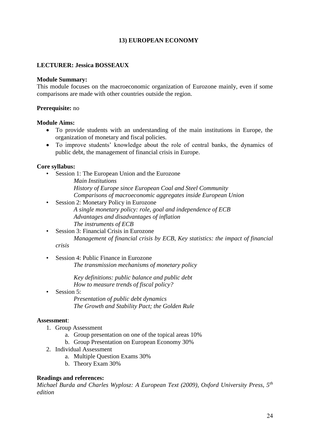# **13) EUROPEAN ECONOMY**

# **LECTURER: Jessica BOSSEAUX**

## **Module Summary:**

This module focuses on the macroeconomic organization of Eurozone mainly, even if some comparisons are made with other countries outside the region.

## **Prerequisite:** no

## **Module Aims:**

- To provide students with an understanding of the main institutions in Europe, the organization of monetary and fiscal policies.
- To improve students' knowledge about the role of central banks, the dynamics of public debt, the management of financial crisis in Europe.

## **Core syllabus:**

- Session 1: The European Union and the Eurozone
	- *Main Institutions History of Europe since European Coal and Steel Community Comparisons of macroeconomic aggregates inside European Union*
- Session 2: Monetary Policy in Eurozone *A single monetary policy: role, goal and independence of ECB Advantages and disadvantages of inflation The instruments of ECB*
- Session 3: Financial Crisis in Eurozone *Management of financial crisis by ECB, Key statistics: the impact of financial*

*crisis*

• Session 4: Public Finance in Eurozone *The transmission mechanisms of monetary policy*

> *Key definitions: public balance and public debt How to measure trends of fiscal policy?*

• Session 5:

*Presentation of public debt dynamics The Growth and Stability Pact; the Golden Rule*

## **Assessment**:

- 1. Group Assessment
	- a. Group presentation on one of the topical areas 10%
	- b. Group Presentation on European Economy 30%
- 2. Individual Assessment
	- a. Multiple Question Exams 30%
	- b. Theory Exam 30%

## **Readings and references:**

*Michael Burda and Charles Wyplosz: A European Text (2009), Oxford University Press, 5th edition*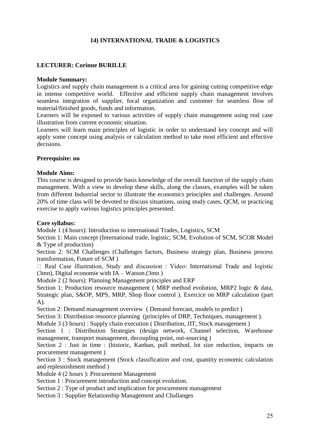# **14) INTERNATIONAL TRADE & LOGISTICS**

# **LECTURER: Corinne BURILLE**

## **Module Summary:**

Logistics and supply chain management is a critical area for gaining cutting competitive edge in intense competitive world. Effective and efficient supply chain management involves seamless integration of supplier, focal organization and customer for seamless flow of material/finished goods, funds and information.

Learners will be exposed to various activities of supply chain management using real case illustration from current economic situation.

Learners will learn main principles of logistic in order to understand key concept and will apply some concept using analysis or calculation method to take most efficient and effective decisions.

## **Prerequisite: no**

## **Module Aims:**

This course is designed to provide basis knowledge of the overall function of the supply chain management. With a view to develop these skills, along the classes, examples will be taken from different Industrial sector to illustrate the economics principles and challenges. Around 20% of time class will be devoted to discuss situations, using study cases, QCM, or practicing exercise to apply various logistics principles presented.

## **Core syllabus:**

Module 1 (4 hours): Introduction to international Trades, Logistics, SCM

Section 1: Main concept (International trade, logistic, SCM, Evolution of SCM, SCOR Model & Type of production)

Section 2: SCM Challenges (Challenges factors, Business strategy plan, Business process transformation, Future of SCM )

□ Real Case illustration, Study and discussion : Video: International Trade and logistic (3mn), Digital economie with IA – Watson.(3mn )

Module 2 (2 hours): Planning Management principles and ERP

Section 1: Production resource management ( MRP method evolution, MRP2 logic & data, Strategic plan, S&OP, MPS, MRP, Shop floor control ). Exercice on MRP calculation (part A).

Section 2: Demand management overview ( Demand forecast, models to predict )

Section 3: Distribution resource planning (principles of DRP, Techniques, management).

Module 3 (3 hours) : Supply chain execution ( Distribution, JIT, Stock management )

Section 1 : Distribution Strategies (design network, Channel selection, Warehouse management, transport management, decoupling point, out-sourcing )

Section 2 : Just in time : (historic, Kanban, pull method, lot size reduction, impacts on procurement management )

Section 3 : Stock management (Stock classification and cost, quantity economic calculation and replesnishment method )

Module 4 (2 hours ): Procurement Management

Section 1 : Procurement introduction and concept evolution.

Section 2 : Type of product and implication for procurement management

Section 3 : Supplier Relationship Management and Challanges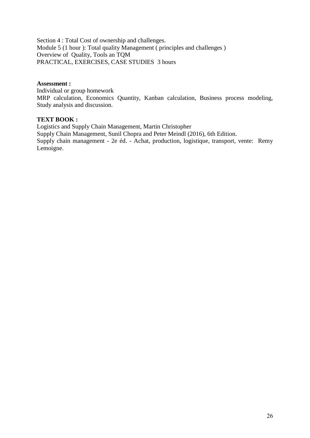Section 4 : Total Cost of ownership and challenges. Module 5 (1 hour ): Total quality Management ( principles and challenges ) Overview of Quality, Tools an TQM PRACTICAL, EXERCISES, CASE STUDIES 3 hours

## **Assessment :**

Individual or group homework MRP calculation, Economics Quantity, Kanban calculation, Business process modeling, Study analysis and discussion.

## **TEXT BOOK :**

Logistics and Supply Chain Management, Martin Christopher Supply Chain Management, Sunil Chopra and Peter Meindl (2016), 6th Edition. Supply chain management - 2e éd. - Achat, production, logistique, transport, vente: Remy Lemoigne.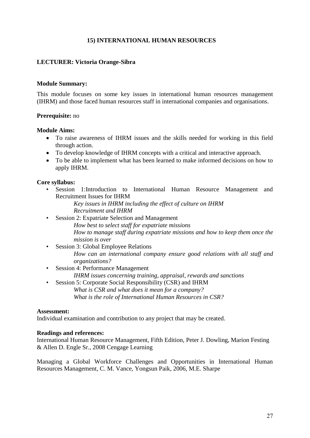# **15) INTERNATIONAL HUMAN RESOURCES**

## **LECTURER: Victoria Orange-Sibra**

#### **Module Summary:**

This module focuses on some key issues in international human resources management (IHRM) and those faced human resources staff in international companies and organisations.

## **Prerequisite:** no

## **Module Aims:**

- To raise awareness of IHRM issues and the skills needed for working in this field through action.
- To develop knowledge of IHRM concepts with a critical and interactive approach.
- To be able to implement what has been learned to make informed decisions on how to apply IHRM.

## **Core syllabus:**

- Session 1:Introduction to International Human Resource Management and Recruitment Issues for IHRM
	- *Key issues in IHRM including the effect of culture on IHRM Recruitment and IHRM*
- Session 2: Expatriate Selection and Management *How best to select staff for expatriate missions How to manage staff during expatriate missions and how to keep them once the mission is over*
- Session 3: Global Employee Relations *How can an international company ensure good relations with all staff and organizations?*
- Session 4: Performance Management *IHRM issues concerning training, appraisal, rewards and sanctions*
- Session 5: Corporate Social Responsibility (CSR) and IHRM *What is CSR and what does it mean for a company? What is the role of International Human Resources in CSR?*

## **Assessment:**

Individual examination and contribution to any project that may be created.

## **Readings and references:**

International Human Resource Management, Fifth Edition, Peter J. Dowling, Marion Festing & Allen D. Engle Sr., 2008 Cengage Learning

Managing a Global Workforce Challenges and Opportunities in International Human Resources Management, C. M. Vance, Yongsun Paik, 2006, M.E. Sharpe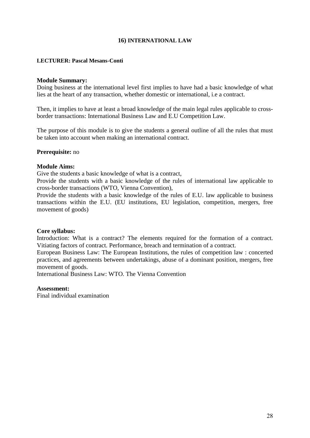## **16) INTERNATIONAL LAW**

#### **LECTURER: Pascal Mesans-Conti**

#### **Module Summary:**

Doing business at the international level first implies to have had a basic knowledge of what lies at the heart of any transaction, whether domestic or international, i.e a contract.

Then, it implies to have at least a broad knowledge of the main legal rules applicable to crossborder transactions: International Business Law and E.U Competition Law.

The purpose of this module is to give the students a general outline of all the rules that must be taken into account when making an international contract.

#### **Prerequisite:** no

#### **Module Aims:**

Give the students a basic knowledge of what is a contract,

Provide the students with a basic knowledge of the rules of international law applicable to cross-border transactions (WTO, Vienna Convention),

Provide the students with a basic knowledge of the rules of E.U. law applicable to business transactions within the E.U. (EU institutions, EU legislation, competition, mergers, free movement of goods)

#### **Core syllabus:**

Introduction: What is a contract? The elements required for the formation of a contract. Vitiating factors of contract. Performance, breach and termination of a contract.

European Business Law: The European Institutions, the rules of competition law : concerted practices, and agreements between undertakings, abuse of a dominant position, mergers, free movement of goods.

International Business Law: WTO. The Vienna Convention

## **Assessment:**

Final individual examination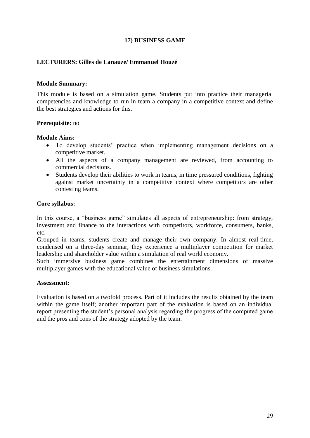# **17) BUSINESS GAME**

## **LECTURERS: Gilles de Lanauze/ Emmanuel Houzé**

## **Module Summary:**

This module is based on a simulation game. Students put into practice their managerial competencies and knowledge to run in team a company in a competitive context and define the best strategies and actions for this.

## **Prerequisite:** no

#### **Module Aims:**

- To develop students' practice when implementing management decisions on a competitive market.
- All the aspects of a company management are reviewed, from accounting to commercial decisions.
- Students develop their abilities to work in teams, in time pressured conditions, fighting against market uncertainty in a competitive context where competitors are other contesting teams.

#### **Core syllabus:**

In this course, a "business game" simulates all aspects of entrepreneurship: from strategy, investment and finance to the interactions with competitors, workforce, consumers, banks, etc.

Grouped in teams, students create and manage their own company. In almost real-time, condensed on a three-day seminar, they experience a multiplayer competition for market leadership and shareholder value within a simulation of real world economy.

Such immersive business game combines the entertainment dimensions of massive multiplayer games with the educational value of business simulations.

#### **Assessment:**

Evaluation is based on a twofold process. Part of it includes the results obtained by the team within the game itself; another important part of the evaluation is based on an individual report presenting the student's personal analysis regarding the progress of the computed game and the pros and cons of the strategy adopted by the team.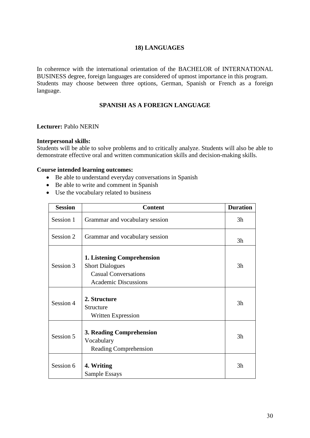# **18) LANGUAGES**

In coherence with the international orientation of the BACHELOR of INTERNATIONAL BUSINESS degree, foreign languages are considered of upmost importance in this program. Students may choose between three options, German, Spanish or French as a foreign language.

## **SPANISH AS A FOREIGN LANGUAGE**

## **Lecturer:** Pablo NERIN

#### **Interpersonal skills:**

Students will be able to solve problems and to critically analyze. Students will also be able to demonstrate effective oral and written communication skills and decision-making skills.

#### **Course intended learning outcomes:**

- Be able to understand everyday conversations in Spanish
- Be able to write and comment in Spanish
- Use the vocabulary related to business

| <b>Session</b> | <b>Content</b>                                                                                                            | <b>Duration</b> |  |  |  |
|----------------|---------------------------------------------------------------------------------------------------------------------------|-----------------|--|--|--|
| Session 1      | Grammar and vocabulary session                                                                                            | 3h              |  |  |  |
| Session 2      | Grammar and vocabulary session                                                                                            |                 |  |  |  |
| Session 3      | <b>1. Listening Comprehension</b><br><b>Short Dialogues</b><br><b>Casual Conversations</b><br><b>Academic Discussions</b> | 3h              |  |  |  |
| Session 4      | 2. Structure<br>Structure<br><b>Written Expression</b>                                                                    | 3h              |  |  |  |
| Session 5      | 3. Reading Comprehension<br>Vocabulary<br>Reading Comprehension                                                           | 3h              |  |  |  |
| Session 6      | 4. Writing<br>Sample Essays                                                                                               | 3h              |  |  |  |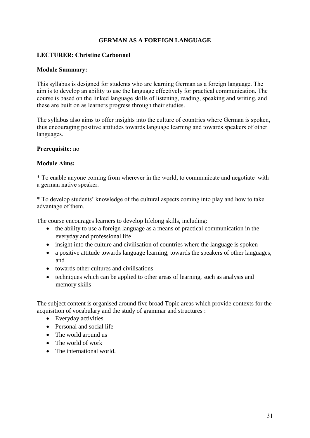# **GERMAN AS A FOREIGN LANGUAGE**

## **LECTURER: Christine Carbonnel**

## **Module Summary:**

This syllabus is designed for students who are learning German as a foreign language. The aim is to develop an ability to use the language effectively for practical communication. The course is based on the linked language skills of listening, reading, speaking and writing, and these are built on as learners progress through their studies.

The syllabus also aims to offer insights into the culture of countries where German is spoken, thus encouraging positive attitudes towards language learning and towards speakers of other languages.

## **Prerequisite:** no

## **Module Aims:**

\* To enable anyone coming from wherever in the world, to communicate and negotiate with a german native speaker.

\* To develop students' knowledge of the cultural aspects coming into play and how to take advantage of them.

The course encourages learners to develop lifelong skills, including:

- the ability to use a foreign language as a means of practical communication in the everyday and professional life
- insight into the culture and civilisation of countries where the language is spoken
- a positive attitude towards language learning, towards the speakers of other languages, and
- towards other cultures and civilisations
- techniques which can be applied to other areas of learning, such as analysis and memory skills

The subject content is organised around five broad Topic areas which provide contexts for the acquisition of vocabulary and the study of grammar and structures :

- Everyday activities
- Personal and social life
- The world around us
- The world of work
- The international world.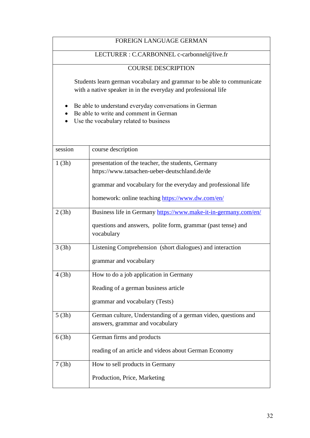| <b>FOREIGN LANGUAGE GERMAN</b>                                                                                                             |                                                                                                                                          |  |  |  |
|--------------------------------------------------------------------------------------------------------------------------------------------|------------------------------------------------------------------------------------------------------------------------------------------|--|--|--|
| LECTURER : C.CARBONNEL c-carbonnel@live.fr                                                                                                 |                                                                                                                                          |  |  |  |
| <b>COURSE DESCRIPTION</b>                                                                                                                  |                                                                                                                                          |  |  |  |
|                                                                                                                                            | Students learn german vocabulary and grammar to be able to communicate<br>with a native speaker in in the everyday and professional life |  |  |  |
| Be able to understand everyday conversations in German<br>Be able to write and comment in German<br>Use the vocabulary related to business |                                                                                                                                          |  |  |  |
| session                                                                                                                                    | course description                                                                                                                       |  |  |  |
| presentation of the teacher, the students, Germany<br>1(3h)<br>https://www.tatsachen-ueber-deutschland.de/de                               |                                                                                                                                          |  |  |  |
| grammar and vocabulary for the everyday and professional life<br>homework: online teaching https://www.dw.com/en/                          |                                                                                                                                          |  |  |  |
| 2(3h)                                                                                                                                      | Business life in Germany https://www.make-it-in-germany.com/en/                                                                          |  |  |  |
| questions and answers, polite form, grammar (past tense) and<br>vocabulary                                                                 |                                                                                                                                          |  |  |  |
| Listening Comprehension (short dialogues) and interaction<br>3(3h)                                                                         |                                                                                                                                          |  |  |  |
| grammar and vocabulary                                                                                                                     |                                                                                                                                          |  |  |  |
| 4(3h)                                                                                                                                      | How to do a job application in Germany                                                                                                   |  |  |  |
| Reading of a german business article                                                                                                       |                                                                                                                                          |  |  |  |
| grammar and vocabulary (Tests)                                                                                                             |                                                                                                                                          |  |  |  |
| 5(3h)                                                                                                                                      | German culture, Understanding of a german video, questions and<br>answers, grammar and vocabulary                                        |  |  |  |
| 6(3h)                                                                                                                                      | German firms and products                                                                                                                |  |  |  |
|                                                                                                                                            | reading of an article and videos about German Economy                                                                                    |  |  |  |
| 7(3h)                                                                                                                                      | How to sell products in Germany                                                                                                          |  |  |  |
| Production, Price, Marketing                                                                                                               |                                                                                                                                          |  |  |  |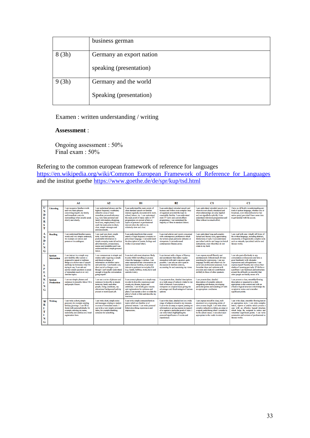|       | business german          |
|-------|--------------------------|
| 8(3h) | Germany an export nation |
|       | speaking (presentation)  |
| 9(3h) | Germany and the world    |
|       | Speaking (presentation)  |

## Examen : written understanding / writing

#### **Assessment** :

Ongoing assessment : 50% Final exam : 50%

Refering to the common european framework of reference for languages [https://en.wikipedia.org/wiki/Common\\_European\\_Framework\\_of\\_Reference\\_for\\_Languages](https://en.wikipedia.org/wiki/Common_European_Framework_of_Reference_for_Languages) and the institut goethe<https://www.goethe.de/de/spr/kup/tsd.html>

|                                 |                                     | A1                                                                                                                                                                                                                                                                                              | $\mathbf{A2}$                                                                                                                                                                                                                                                                                                      | B1                                                                                                                                                                                                                                                                                                                                          | B2                                                                                                                                                                                                                                                                                                                             | C1                                                                                                                                                                                                                                                                                                                        | C2                                                                                                                                                                                                                                                                                                                                                                               |
|---------------------------------|-------------------------------------|-------------------------------------------------------------------------------------------------------------------------------------------------------------------------------------------------------------------------------------------------------------------------------------------------|--------------------------------------------------------------------------------------------------------------------------------------------------------------------------------------------------------------------------------------------------------------------------------------------------------------------|---------------------------------------------------------------------------------------------------------------------------------------------------------------------------------------------------------------------------------------------------------------------------------------------------------------------------------------------|--------------------------------------------------------------------------------------------------------------------------------------------------------------------------------------------------------------------------------------------------------------------------------------------------------------------------------|---------------------------------------------------------------------------------------------------------------------------------------------------------------------------------------------------------------------------------------------------------------------------------------------------------------------------|----------------------------------------------------------------------------------------------------------------------------------------------------------------------------------------------------------------------------------------------------------------------------------------------------------------------------------------------------------------------------------|
| U<br>N<br>D<br>E<br>R<br>S<br>т | <b>Listening</b>                    | I can recognise familiar words<br>and very basic phrases<br>concerning myself, my family<br>and immediate concrete.<br>surroundings when people speak<br>slowly and clearly.                                                                                                                    | I can understand phrases and the<br>highest frequency vocabulary<br>related to areas of most<br>immediate personal relevance<br>(e.g. very basic personal and<br>family information, shopping.<br>local area, employment). I can<br>catch the main point in short,<br>clear, simple messages and<br>announcements. | I can understand the main points of<br>clear standard speech on familiar<br>matters regularly encountered in work,<br>school, leisure, etc. I can understand<br>the main point of many radio or TV<br>programmes on current affairs or<br>topics of personal or professional<br>interest when the delivery is<br>relatively slow and clear. | I can understand extended speech and<br>lectures and follow even complex lines<br>of argument provided the topic is<br>reasonably familiar. I can understand<br>most TV news and current affairs<br>programmes. I can understand the<br>majority of films in standard dialect.                                                 | I can understand extended speech even<br>when it is not clearly structured and<br>when relationships are only implied<br>and not signalled explicitly. I can<br>understand television programmes and<br>films without too much effort.                                                                                    | I have no difficulty in understanding any<br>kind of spoken language, whether live or<br>broadcast, even when delivered at fast<br>native speed, provided I have some time<br>to get familiar with the accent.                                                                                                                                                                   |
| A<br>N<br>D<br>г<br>N<br>Ġ      | <b>Reading</b>                      | I can understand familiar names.<br>words and very simple sentences,<br>for example on notices and<br>posters or in catalogues.                                                                                                                                                                 | I can read very short, simple<br>texts. I can find specific.<br>predictable information in<br>simple everyday material such as<br>advertisements, prospectuses,<br>menus and timetables and I can<br>understand short simple personal<br>letters.                                                                  | I can understand texts that consist<br>mainly of high frequency everyday or<br>job-related language. I can understand<br>the description of events, feelings and<br>wishes in personal letters.                                                                                                                                             | I can read articles and reports concerned<br>with contemporary problems in which<br>the writers adopt particular attitudes or<br>viewpoints. I can understand<br>contemporary literary prose.                                                                                                                                  | I can understand long and complex<br>factual and literary texts, appreciating<br>distinctions of style. I can understand<br>specialised articles and longer technical<br>instructions, even when they do not<br>relate to my field.                                                                                       | I can read with ease virtually all forms of<br>the written language, including abstract,<br>structurally or linguistically complex texts<br>such as manuals, specialised articles and<br>literary works.                                                                                                                                                                         |
| S<br>P<br>E<br>A                | <b>Spoken</b><br><b>Interaction</b> | I can interact in a simple way<br>provided the other person is<br>prepared to repeat or rephrase<br>things at a slower rate of speech<br>and help me formulate what I'm<br>trying to say. I can ask and<br>answer simple questions in areas<br>of immediate need or on very<br>familiar topics. | I can communicate in simple and<br>routine tasks requiring a simple<br>and direct exchange of<br>information on familiar topics<br>and activities. I can handle very<br>short social exchanges, even<br>though I can't usually understand<br>enough to keep the conversation<br>going myself.                      | I can deal with most situations likely<br>to arise whilst travelling in an area<br>where the language is spoken. I can<br>enter unprepared into conversation on<br>topics that are familiar, of personal<br>interest or pertinent to everyday life<br>(e.g. family, hobbies, work, travel and<br>current events).                           | I can interact with a degree of fluency<br>and spontaneity that makes regular<br>interaction with native speakers quite<br>possible. I can take an active part in<br>discussion in familiar contexts.<br>accounting for and sustaining my views.                                                                               | I can express myself fluently and<br>spontaneously without much obvious<br>searching for expressions. I can use<br>language flexibly and effectively for<br>social and professional purposes. I can<br>formulate ideas and opinions with<br>precision and relate my contribution<br>skilfully to those of other speakers. | I can take part effortlessly in any<br>conversation or discussion and have a<br>good familiarity with idiomatic<br>expressions and colloquialisms. I can<br>express myself fluently and convey finer<br>shades of meaning precisely. If I do have<br>a problem I can backtrack and restructure<br>around the difficulty so smoothly that<br>other people are hardly aware of it. |
| ĸ<br>т<br>N<br>G                | <b>Spoken</b><br><b>Production</b>  | I can use simple phrases and<br>sentences to describe where I live<br>and people I know.                                                                                                                                                                                                        | I can use a series of phrases and<br>sentences to describe in simple<br>terms my family and other<br>people, living conditions, my<br>educational background and my<br>present or most recent job.                                                                                                                 | I can connect phrases in a simple way<br>in order to describe experiences and<br>events, my dreams, hopes and<br>ambitions. I can briefly give reasons<br>and explanations for opinions and<br>plans. I can narrate a story or relate the<br>plot of a book or film and describe my<br>reactions.                                           | I can present clear, detailed descriptions<br>on a wide range of subjects related to my<br>field of interest. I can explain a<br>viewpoint on a topical issue giving the<br>advantages and disadvantages of various<br>options.                                                                                                | I can present clear, detailed<br>descriptions of complex subjects<br>integrating sub-themes, developing<br>particular points and rounding off with<br>an appropriate conclusion.                                                                                                                                          | I can present a clear, smoothly-flowing<br>description or argument in a style<br>appropriate to the context and with an<br>effective logical structure which helps the<br>recipient to notice and remember<br>significant points.                                                                                                                                                |
| w<br>R<br>г<br>т<br>т<br>N<br>G | <b>Writing</b>                      | I can write a short, simple<br>postcard, for example sending<br>holiday greetings. I can fill in<br>forms with personal details, for<br>example entering my name.<br>nationality and address on a hotel<br>registration form.                                                                   | I can write short, simple notes<br>and messages relating to matters<br>in areas of immediate needs. I<br>can write a very simple personal<br>letter, for example thanking<br>someone for something.                                                                                                                | I can write simple connected text on<br>topics which are familiar or of<br>personal interest. I can write personal<br>letters describing experiences and<br>impressions.                                                                                                                                                                    | I can write clear, detailed text on a wide<br>range of subjects related to my interests.<br>I can write an essay or report, passing on<br>information or giving reasons in support<br>of or against a particular point of view. I<br>can write letters highlighting the<br>personal significance of events and<br>experiences. | I can express myself in clear, well-<br>structured text, expressing points of<br>view at some length. I can write about<br>complex subjects in a letter, an essay or<br>a report, underlining what I consider to<br>be the salient issues. I can select style<br>appropriate to the reader in mind.                       | I can write clear, smoothly-flowing text in<br>an appropriate style. I can write complex<br>letters, reports or articles which present a<br>case with an effective logical structure<br>which helps the recipient to notice and<br>remember significant points. I can write<br>summaries and reviews of professional or<br>literary works.                                       |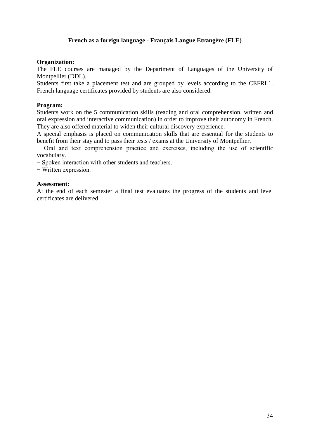# **French as a foreign language - Français Langue Etrangère (FLE)**

## **Organization:**

The FLE courses are managed by the Department of Languages of the University of Montpellier (DDL).

Students first take a placement test and are grouped by levels according to the CEFRL1. French language certificates provided by students are also considered.

## **Program:**

Students work on the 5 communication skills (reading and oral comprehension, written and oral expression and interactive communication) in order to improve their autonomy in French. They are also offered material to widen their cultural discovery experience.

A special emphasis is placed on communication skills that are essential for the students to benefit from their stay and to pass their tests / exams at the University of Montpellier.

− Oral and text comprehension practice and exercises, including the use of scientific vocabulary.

− Spoken interaction with other students and teachers.

− Written expression.

## **Assessment:**

At the end of each semester a final test evaluates the progress of the students and level certificates are delivered.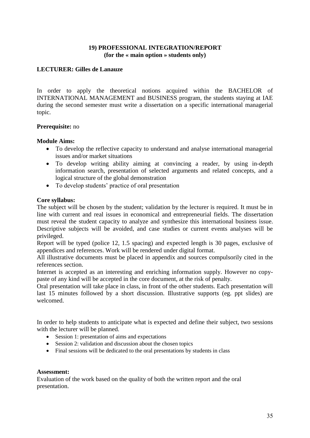## **19) PROFESSIONAL INTEGRATION/REPORT (for the « main option » students only)**

## **LECTURER: Gilles de Lanauze**

In order to apply the theoretical notions acquired within the BACHELOR of INTERNATIONAL MANAGEMENT and BUSINESS program, the students staying at IAE during the second semester must write a dissertation on a specific international managerial topic.

## **Prerequisite:** no

## **Module Aims:**

- To develop the reflective capacity to understand and analyse international managerial issues and/or market situations
- To develop writing ability aiming at convincing a reader, by using in-depth information search, presentation of selected arguments and related concepts, and a logical structure of the global demonstration
- To develop students' practice of oral presentation

## **Core syllabus:**

The subject will be chosen by the student; validation by the lecturer is required. It must be in line with current and real issues in economical and entrepreneurial fields. The dissertation must reveal the student capacity to analyze and synthesize this international business issue. Descriptive subjects will be avoided, and case studies or current events analyses will be privileged.

Report will be typed (police 12, 1.5 spacing) and expected length is 30 pages, exclusive of appendices and references. Work will be rendered under digital format.

All illustrative documents must be placed in appendix and sources compulsorily cited in the references section.

Internet is accepted as an interesting and enriching information supply. However no copypaste of any kind will be accepted in the core document, at the risk of penalty.

Oral presentation will take place in class, in front of the other students. Each presentation will last 15 minutes followed by a short discussion. Illustrative supports (eg. ppt slides) are welcomed.

In order to help students to anticipate what is expected and define their subject, two sessions with the lecturer will be planned.

- Session 1: presentation of aims and expectations
- Session 2: validation and discussion about the chosen topics
- Final sessions will be dedicated to the oral presentations by students in class

## **Assessment:**

Evaluation of the work based on the quality of both the written report and the oral presentation.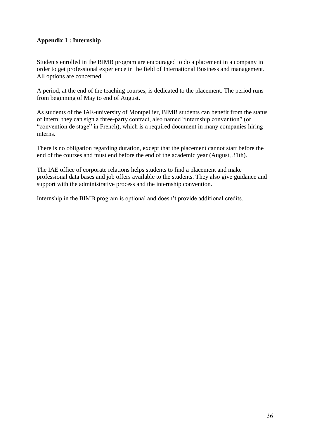# **Appendix 1 : Internship**

Students enrolled in the BIMB program are encouraged to do a placement in a company in order to get professional experience in the field of International Business and management. All options are concerned.

A period, at the end of the teaching courses, is dedicated to the placement. The period runs from beginning of May to end of August.

As students of the IAE-university of Montpellier, BIMB students can benefit from the status of intern; they can sign a three-party contract, also named "internship convention" (or "convention de stage" in French), which is a required document in many companies hiring interns.

There is no obligation regarding duration, except that the placement cannot start before the end of the courses and must end before the end of the academic year (August, 31th).

The IAE office of corporate relations helps students to find a placement and make professional data bases and job offers available to the students. They also give guidance and support with the administrative process and the internship convention.

Internship in the BIMB program is optional and doesn't provide additional credits.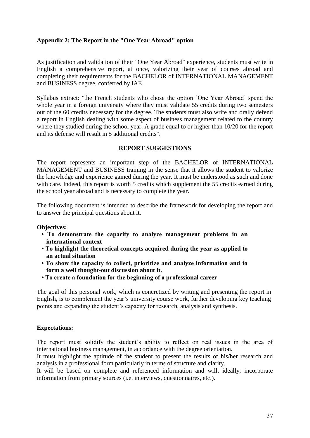## **Appendix 2: The Report in the "One Year Abroad" option**

As justification and validation of their "One Year Abroad" experience, students must write in English a comprehensive report, at once, valorizing their year of courses abroad and completing their requirements for the BACHELOR of INTERNATIONAL MANAGEMENT and BUSINESS degree, conferred by IAE.

Syllabus extract: "the French students who chose the option 'One Year Abroad' spend the whole year in a foreign university where they must validate 55 credits during two semesters out of the 60 credits necessary for the degree. The students must also write and orally defend a report in English dealing with some aspect of business management related to the country where they studied during the school year. A grade equal to or higher than 10/20 for the report and its defense will result in 5 additional credits".

## **REPORT SUGGESTIONS**

The report represents an important step of the BACHELOR of INTERNATIONAL MANAGEMENT and BUSINESS training in the sense that it allows the student to valorize the knowledge and experience gained during the year. It must be understood as such and done with care. Indeed, this report is worth 5 credits which supplement the 55 credits earned during the school year abroad and is necessary to complete the year.

The following document is intended to describe the framework for developing the report and to answer the principal questions about it.

## **Objectives:**

- **To demonstrate the capacity to analyze management problems in an international context**
- **To highlight the theoretical concepts acquired during the year as applied to an actual situation**
- **To show the capacity to collect, prioritize and analyze information and to form a well thought-out discussion about it.**
- **To create a foundation for the beginning of a professional career**

The goal of this personal work, which is concretized by writing and presenting the report in English, is to complement the year's university course work, further developing key teaching points and expanding the student's capacity for research, analysis and synthesis.

## **Expectations:**

The report must solidify the student's ability to reflect on real issues in the area of international business management, in accordance with the degree orientation.

It must highlight the aptitude of the student to present the results of his/her research and analysis in a professional form particularly in terms of structure and clarity.

It will be based on complete and referenced information and will, ideally, incorporate information from primary sources (i.e. interviews, questionnaires, etc.).